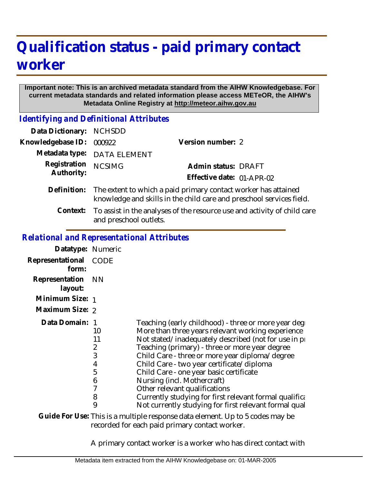## **Qualification status - paid primary contact worker**

## **Important note: This is an archived metadata standard from the AIHW Knowledgebase. For current metadata standards and related information please access METeOR, the AIHW's Metadata Online Registry at http://meteor.aihw.gov.au**

*Identifying and Definitional Attributes*

| Data Dictionary: NCHSDD    |                                                                                                                                        |                           |  |
|----------------------------|----------------------------------------------------------------------------------------------------------------------------------------|---------------------------|--|
| Knowledgebase ID:          | 000922                                                                                                                                 | Version number: 2         |  |
|                            | Metadata type: DATA ELEMENT                                                                                                            |                           |  |
| Registration<br>Authority: | <b>NCSIMG</b>                                                                                                                          | Admin status: DRAFT       |  |
|                            |                                                                                                                                        | Effective date: 01-APR-02 |  |
| Definition:                | The extent to which a paid primary contact worker has attained<br>knowledge and skills in the child care and preschool services field. |                           |  |
| Context:                   | To assist in the analyses of the resource use and activity of child care<br>and preschool outlets.                                     |                           |  |

*Relational and Representational Attributes*

| Datatype: Numeric         |                                        |                                                                                                                                                                                                                                                                                                                                                                                                                                                                                              |
|---------------------------|----------------------------------------|----------------------------------------------------------------------------------------------------------------------------------------------------------------------------------------------------------------------------------------------------------------------------------------------------------------------------------------------------------------------------------------------------------------------------------------------------------------------------------------------|
| Representational<br>form: | CODE                                   |                                                                                                                                                                                                                                                                                                                                                                                                                                                                                              |
| Representation<br>layout: | <b>NN</b>                              |                                                                                                                                                                                                                                                                                                                                                                                                                                                                                              |
| Minimum Size: 1           |                                        |                                                                                                                                                                                                                                                                                                                                                                                                                                                                                              |
| Maximum Size: 2           |                                        |                                                                                                                                                                                                                                                                                                                                                                                                                                                                                              |
| Data Domain:              | 10<br>11<br>2<br>3<br>4<br>5<br>6<br>8 | Teaching (early childhood) - three or more year deget<br>More than three years relevant working experience<br>Not stated/inadequately described (not for use in pro-<br>Teaching (primary) - three or more year degree<br>Child Care - three or more year diploma/degree<br>Child Care - two year certificate/diploma<br>Child Care - one year basic certificate<br>Nursing (incl. Mothercraft)<br>Other relevant qualifications<br>Currently studying for first relevant formal qualificant |
|                           | 9                                      | Not currently studying for first relevant formal qual                                                                                                                                                                                                                                                                                                                                                                                                                                        |

Guide For Use: This is a multiple response data element. Up to 5 codes may be recorded for each paid primary contact worker.

A primary contact worker is a worker who has direct contact with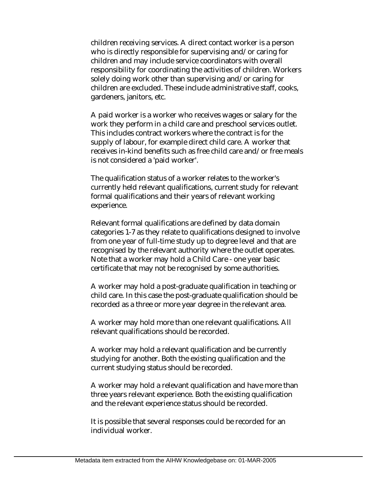children receiving services. A direct contact worker is a person who is directly responsible for supervising and/or caring for children and may include service coordinators with overall responsibility for coordinating the activities of children. Workers solely doing work other than supervising and/or caring for children are excluded. These include administrative staff, cooks, gardeners, janitors, etc.

A paid worker is a worker who receives wages or salary for the work they perform in a child care and preschool services outlet. This includes contract workers where the contract is for the supply of labour, for example direct child care. A worker that receives in-kind benefits such as free child care and/or free meals is not considered a 'paid worker'.

The qualification status of a worker relates to the worker's currently held relevant qualifications, current study for relevant formal qualifications and their years of relevant working experience.

Relevant formal qualifications are defined by data domain categories 1-7 as they relate to qualifications designed to involve from one year of full-time study up to degree level and that are recognised by the relevant authority where the outlet operates. Note that a worker may hold a Child Care - one year basic certificate that may not be recognised by some authorities.

A worker may hold a post-graduate qualification in teaching or child care. In this case the post-graduate qualification should be recorded as a three or more year degree in the relevant area.

A worker may hold more than one relevant qualifications. All relevant qualifications should be recorded.

A worker may hold a relevant qualification and be currently studying for another. Both the existing qualification and the current studying status should be recorded.

A worker may hold a relevant qualification and have more than three years relevant experience. Both the existing qualification and the relevant experience status should be recorded.

It is possible that several responses could be recorded for an individual worker.